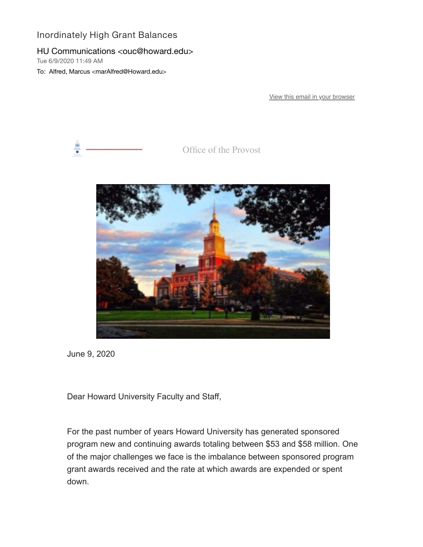## Inordinately High Grant Balances

## HU Communications <ouc@howard.edu>

Tue 6/9/2020 11:49 AM

To: Alfred, Marcus <marAlfred@Howard.edu>

[View this email in your browser](https://nam04.safelinks.protection.outlook.com/?url=https%3A%2F%2Fmailchi.mp%2F4a7196580cbc%2Finordinately-high-grant-balances%3Fe%3D0058eb68db&data=02%7C01%7CmarAlfred%40Howard.edu%7Cb85426c5ea4b4e1d5a2308d80c8cbc75%7C02ac0c07b75f46bf9b133630ba94bb69%7C0%7C0%7C637273145888192324&sdata=uzVXYMpo2AOqCBeVAe1SQQC%2BoBoIxgmtbWiZGb7dBtI%3D&reserved=0)



Office of the Provost



June 9, 2020

Dear Howard University Faculty and Staff,

For the past number of years Howard University has generated sponsored program new and continuing awards totaling between \$53 and \$58 million. One of the major challenges we face is the imbalance between sponsored program grant awards received and the rate at which awards are expended or spent down.